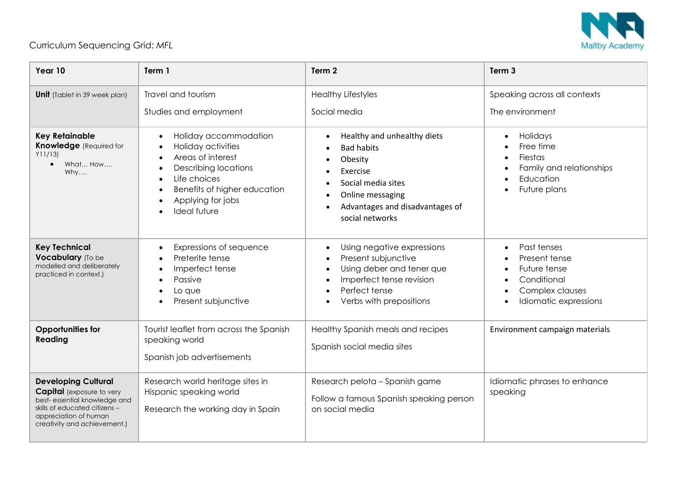

## Curriculum Sequencing Grid: *MFL*

| Year 10                                                                                                                                                                                   | Term 1                                                                                                                                                                                                                | Term 2                                                                                                                                                                  | Term <sub>3</sub>                                                                                                    |
|-------------------------------------------------------------------------------------------------------------------------------------------------------------------------------------------|-----------------------------------------------------------------------------------------------------------------------------------------------------------------------------------------------------------------------|-------------------------------------------------------------------------------------------------------------------------------------------------------------------------|----------------------------------------------------------------------------------------------------------------------|
| <b>Unit</b> (Tablet in 39 week plan)                                                                                                                                                      | Travel and tourism<br>Studies and employment                                                                                                                                                                          | <b>Healthy Lifestyles</b><br>Social media                                                                                                                               | Speaking across all contexts<br>The environment                                                                      |
| <b>Key Retainable</b><br><b>Knowledge</b> (Required for<br>Y11/13<br>What How<br>$\bullet$<br>Why                                                                                         | Holiday accommodation<br>$\bullet$<br>Holiday activities<br>Areas of interest<br>$\bullet$<br><b>Describing locations</b><br>Life choices<br>Benefits of higher education<br>Applying for jobs<br><b>Ideal future</b> | Healthy and unhealthy diets<br><b>Bad habits</b><br>Obesity<br>Exercise<br>Social media sites<br>Online messaging<br>Advantages and disadvantages of<br>social networks | Holidays<br>$\bullet$<br>Free time<br>Fiestas<br>Family and relationships<br>Education<br>Future plans               |
| <b>Key Technical</b><br>Vocabulary (To be<br>modelled and deliberately<br>practiced in context.)                                                                                          | Expressions of sequence<br>Preterite tense<br>Imperfect tense<br>Passive<br>Lo que<br>Present subjunctive                                                                                                             | Using negative expressions<br>Present subjunctive<br>$\bullet$<br>Using deber and tener que<br>Imperfect tense revision<br>Perfect tense<br>Verbs with prepositions     | Past tenses<br>$\bullet$<br>Present tense<br>Future tense<br>Conditional<br>Complex clauses<br>Idiomatic expressions |
| <b>Opportunities for</b><br>Reading                                                                                                                                                       | Tourist leaflet from across the Spanish<br>speaking world<br>Spanish job advertisements                                                                                                                               | Healthy Spanish meals and recipes<br>Spanish social media sites                                                                                                         | Environment campaign materials                                                                                       |
| <b>Developing Cultural</b><br><b>Capital</b> (exposure to very<br>best- essential knowledge and<br>skills of educated citizens -<br>appreciation of human<br>creativity and achievement.) | Research world heritage sites in<br>Hispanic speaking world<br>Research the working day in Spain                                                                                                                      | Research pelota - Spanish game<br>Follow a famous Spanish speaking person<br>on social media                                                                            | Idiomatic phrases to enhance<br>speaking                                                                             |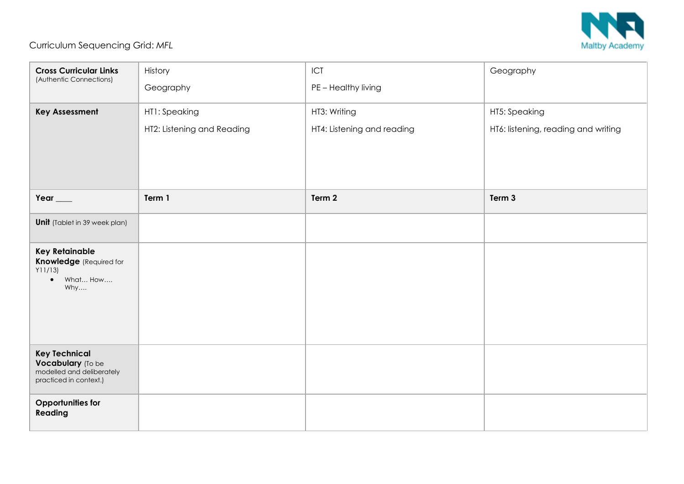

## Curriculum Sequencing Grid: *MFL*

| <b>Cross Curricular Links</b><br>(Authentic Connections)                                             | History                    | ICT                        | Geography                           |
|------------------------------------------------------------------------------------------------------|----------------------------|----------------------------|-------------------------------------|
|                                                                                                      | Geography                  | PE - Healthy living        |                                     |
| <b>Key Assessment</b>                                                                                | HT1: Speaking              | HT3: Writing               | HT5: Speaking                       |
|                                                                                                      | HT2: Listening and Reading | HT4: Listening and reading | HT6: listening, reading and writing |
|                                                                                                      |                            |                            |                                     |
|                                                                                                      |                            |                            |                                     |
|                                                                                                      |                            |                            |                                     |
| Year $\_\_$                                                                                          | Term 1                     | Term 2                     | Term 3                              |
| <b>Unit</b> (Tablet in 39 week plan)                                                                 |                            |                            |                                     |
| <b>Key Retainable</b><br><b>Knowledge</b> (Required for<br>Y11/13<br>$\bullet$ What How<br>Why       |                            |                            |                                     |
| <b>Key Technical</b><br><b>Vocabulary</b> (To be modelled and deliberately<br>practiced in context.) |                            |                            |                                     |
| Opportunities for<br>Reading                                                                         |                            |                            |                                     |